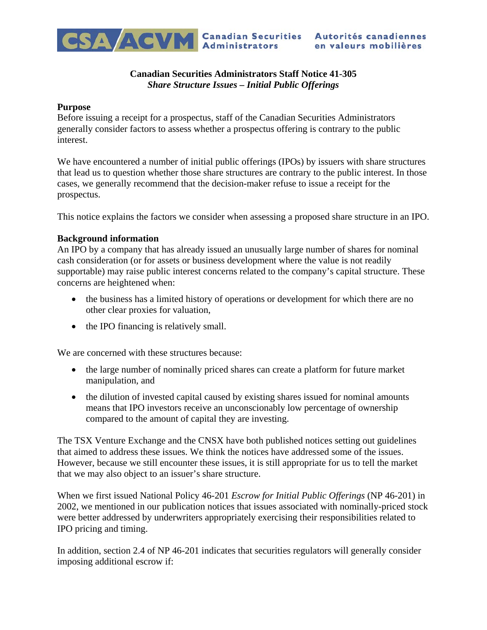

# **Canadian Securities Administrators Staff Notice 41-305**  *Share Structure Issues – Initial Public Offerings*

#### **Purpose**

Before issuing a receipt for a prospectus, staff of the Canadian Securities Administrators generally consider factors to assess whether a prospectus offering is contrary to the public interest.

We have encountered a number of initial public offerings (IPOs) by issuers with share structures that lead us to question whether those share structures are contrary to the public interest. In those cases, we generally recommend that the decision-maker refuse to issue a receipt for the prospectus.

This notice explains the factors we consider when assessing a proposed share structure in an IPO.

### **Background information**

An IPO by a company that has already issued an unusually large number of shares for nominal cash consideration (or for assets or business development where the value is not readily supportable) may raise public interest concerns related to the company's capital structure. These concerns are heightened when:

- the business has a limited history of operations or development for which there are no other clear proxies for valuation,
- the IPO financing is relatively small.

We are concerned with these structures because:

- the large number of nominally priced shares can create a platform for future market manipulation, and
- the dilution of invested capital caused by existing shares issued for nominal amounts means that IPO investors receive an unconscionably low percentage of ownership compared to the amount of capital they are investing.

The TSX Venture Exchange and the CNSX have both published notices setting out guidelines that aimed to address these issues. We think the notices have addressed some of the issues. However, because we still encounter these issues, it is still appropriate for us to tell the market that we may also object to an issuer's share structure.

When we first issued National Policy 46-201 *Escrow for Initial Public Offerings* (NP 46-201) in 2002, we mentioned in our publication notices that issues associated with nominally-priced stock were better addressed by underwriters appropriately exercising their responsibilities related to IPO pricing and timing.

In addition, section 2.4 of NP 46-201 indicates that securities regulators will generally consider imposing additional escrow if: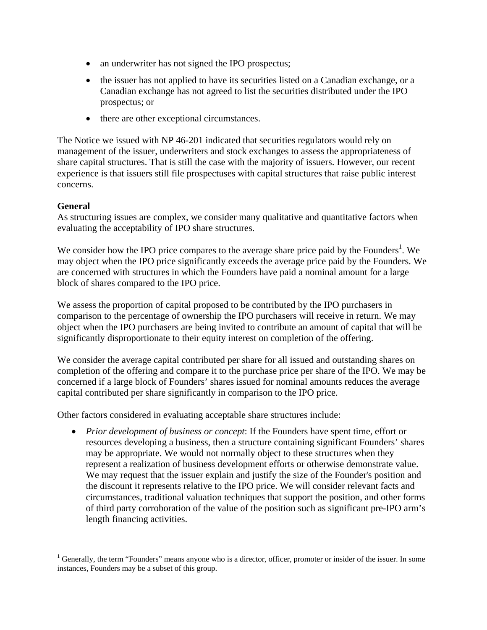- an underwriter has not signed the IPO prospectus;
- the issuer has not applied to have its securities listed on a Canadian exchange, or a Canadian exchange has not agreed to list the securities distributed under the IPO prospectus; or
- there are other exceptional circumstances.

The Notice we issued with NP 46-201 indicated that securities regulators would rely on management of the issuer, underwriters and stock exchanges to assess the appropriateness of share capital structures. That is still the case with the majority of issuers. However, our recent experience is that issuers still file prospectuses with capital structures that raise public interest concerns.

## **General**

1

As structuring issues are complex, we consider many qualitative and quantitative factors when evaluating the acceptability of IPO share structures.

We consider how the IPO price compares to the average share price paid by the Founders<sup>1</sup>. We may object when the IPO price significantly exceeds the average price paid by the Founders. We are concerned with structures in which the Founders have paid a nominal amount for a large block of shares compared to the IPO price.

We assess the proportion of capital proposed to be contributed by the IPO purchasers in comparison to the percentage of ownership the IPO purchasers will receive in return. We may object when the IPO purchasers are being invited to contribute an amount of capital that will be significantly disproportionate to their equity interest on completion of the offering.

We consider the average capital contributed per share for all issued and outstanding shares on completion of the offering and compare it to the purchase price per share of the IPO. We may be concerned if a large block of Founders' shares issued for nominal amounts reduces the average capital contributed per share significantly in comparison to the IPO price.

Other factors considered in evaluating acceptable share structures include:

• *Prior development of business or concept*: If the Founders have spent time, effort or resources developing a business, then a structure containing significant Founders' shares may be appropriate. We would not normally object to these structures when they represent a realization of business development efforts or otherwise demonstrate value. We may request that the issuer explain and justify the size of the Founder's position and the discount it represents relative to the IPO price. We will consider relevant facts and circumstances, traditional valuation techniques that support the position, and other forms of third party corroboration of the value of the position such as significant pre-IPO arm's length financing activities.

<sup>&</sup>lt;sup>1</sup> Generally, the term "Founders" means anyone who is a director, officer, promoter or insider of the issuer. In some instances, Founders may be a subset of this group.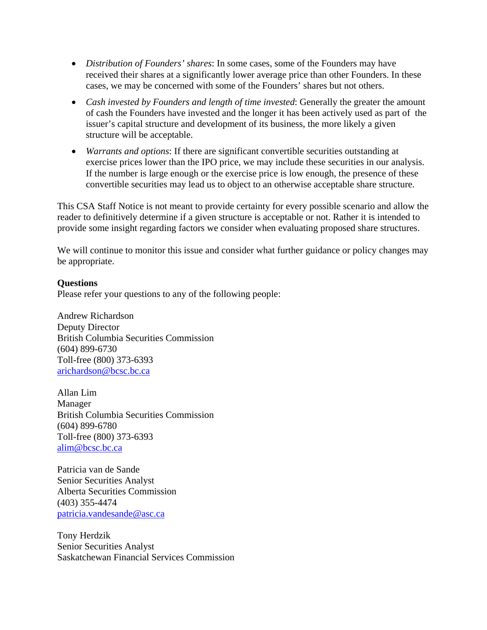- *Distribution of Founders' shares*: In some cases, some of the Founders may have received their shares at a significantly lower average price than other Founders. In these cases, we may be concerned with some of the Founders' shares but not others.
- *Cash invested by Founders and length of time invested*: Generally the greater the amount of cash the Founders have invested and the longer it has been actively used as part of the issuer's capital structure and development of its business, the more likely a given structure will be acceptable.
- *Warrants and options*: If there are significant convertible securities outstanding at exercise prices lower than the IPO price, we may include these securities in our analysis. If the number is large enough or the exercise price is low enough, the presence of these convertible securities may lead us to object to an otherwise acceptable share structure.

This CSA Staff Notice is not meant to provide certainty for every possible scenario and allow the reader to definitively determine if a given structure is acceptable or not. Rather it is intended to provide some insight regarding factors we consider when evaluating proposed share structures.

We will continue to monitor this issue and consider what further guidance or policy changes may be appropriate.

## **Questions**

Please refer your questions to any of the following people:

Andrew Richardson Deputy Director British Columbia Securities Commission (604) 899-6730 Toll-free (800) 373-6393 arichardson@bcsc.bc.ca

Allan Lim Manager British Columbia Securities Commission (604) 899-6780 Toll-free (800) 373-6393 alim@bcsc.bc.ca

Patricia van de Sande Senior Securities Analyst Alberta Securities Commission (403) 355-4474 patricia.vandesande@asc.ca

Tony Herdzik Senior Securities Analyst Saskatchewan Financial Services Commission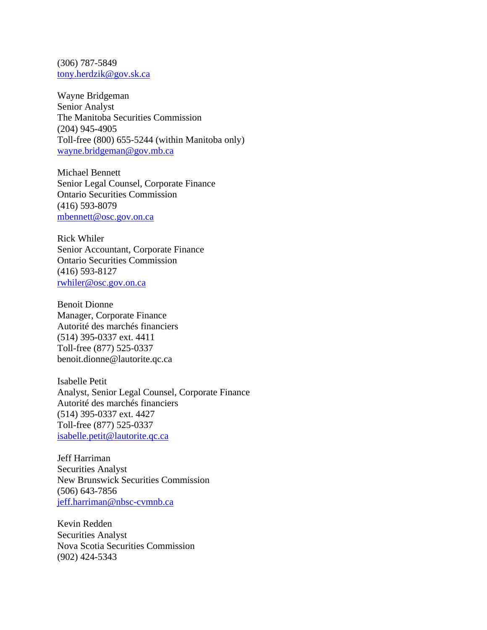(306) 787-5849 tony.herdzik@gov.sk.ca

Wayne Bridgeman Senior Analyst The Manitoba Securities Commission (204) 945-4905 Toll-free (800) 655-5244 (within Manitoba only) wayne.bridgeman@gov.mb.ca

Michael Bennett Senior Legal Counsel, Corporate Finance Ontario Securities Commission (416) 593-8079 mbennett@osc.gov.on.ca

Rick Whiler Senior Accountant, Corporate Finance Ontario Securities Commission (416) 593-8127 rwhiler@osc.gov.on.ca

Benoit Dionne Manager, Corporate Finance Autorité des marchés financiers (514) 395-0337 ext. 4411 Toll-free (877) 525-0337 benoit.dionne@lautorite.qc.ca

Isabelle Petit Analyst, Senior Legal Counsel, Corporate Finance Autorité des marchés financiers (514) 395-0337 ext. 4427 Toll-free (877) 525-0337 isabelle.petit@lautorite.qc.ca

Jeff Harriman Securities Analyst New Brunswick Securities Commission (506) 643-7856 jeff.harriman@nbsc-cvmnb.ca

Kevin Redden Securities Analyst Nova Scotia Securities Commission (902) 424-5343